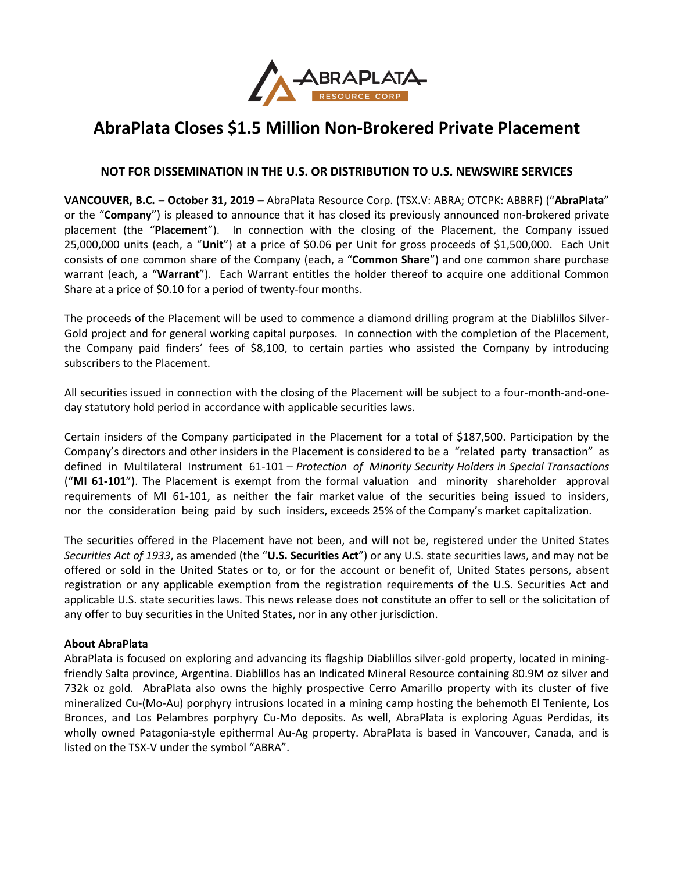

# **AbraPlata Closes \$1.5 Million Non-Brokered Private Placement**

# **NOT FOR DISSEMINATION IN THE U.S. OR DISTRIBUTION TO U.S. NEWSWIRE SERVICES**

**VANCOUVER, B.C. – October 31, 2019 –** AbraPlata Resource Corp. (TSX.V: ABRA; OTCPK: ABBRF) ("**AbraPlata**" or the "**Company**") is pleased to announce that it has closed its previously announced non-brokered private placement (the "**Placement**"). In connection with the closing of the Placement, the Company issued 25,000,000 units (each, a "**Unit**") at a price of \$0.06 per Unit for gross proceeds of \$1,500,000. Each Unit consists of one common share of the Company (each, a "**Common Share**") and one common share purchase warrant (each, a "**Warrant**"). Each Warrant entitles the holder thereof to acquire one additional Common Share at a price of \$0.10 for a period of twenty-four months.

The proceeds of the Placement will be used to commence a diamond drilling program at the Diablillos Silver-Gold project and for general working capital purposes. In connection with the completion of the Placement, the Company paid finders' fees of \$8,100, to certain parties who assisted the Company by introducing subscribers to the Placement.

All securities issued in connection with the closing of the Placement will be subject to a four-month-and-oneday statutory hold period in accordance with applicable securities laws.

Certain insiders of the Company participated in the Placement for a total of \$187,500. Participation by the Company's directors and other insiders in the Placement is considered to be a "related party transaction" as defined in Multilateral Instrument 61-101 – *Protection of Minority Security Holders in Special Transactions* ("**MI 61-101**"). The Placement is exempt from the formal valuation and minority shareholder approval requirements of MI 61-101, as neither the fair market value of the securities being issued to insiders, nor the consideration being paid by such insiders, exceeds 25% of the Company's market capitalization.

The securities offered in the Placement have not been, and will not be, registered under the United States *Securities Act of 1933*, as amended (the "**U.S. Securities Act**") or any U.S. state securities laws, and may not be offered or sold in the United States or to, or for the account or benefit of, United States persons, absent registration or any applicable exemption from the registration requirements of the U.S. Securities Act and applicable U.S. state securities laws. This news release does not constitute an offer to sell or the solicitation of any offer to buy securities in the United States, nor in any other jurisdiction.

## **About AbraPlata**

AbraPlata is focused on exploring and advancing its flagship Diablillos silver-gold property, located in miningfriendly Salta province, Argentina. Diablillos has an Indicated Mineral Resource containing 80.9M oz silver and 732k oz gold. AbraPlata also owns the highly prospective Cerro Amarillo property with its cluster of five mineralized Cu-(Mo-Au) porphyry intrusions located in a mining camp hosting the behemoth El Teniente, Los Bronces, and Los Pelambres porphyry Cu-Mo deposits. As well, AbraPlata is exploring Aguas Perdidas, its wholly owned Patagonia-style epithermal Au-Ag property. AbraPlata is based in Vancouver, Canada, and is listed on the TSX-V under the symbol "ABRA".